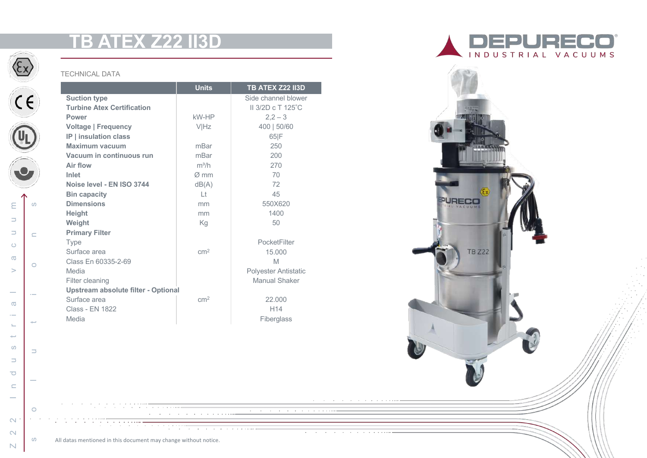# **TB ATEX Z22 II3D**



 $C$ 

 $\mathbb{G}$ 

 $\bullet$ 

ဖ

 $\subset$ 

 $\circ$ 

 $\sim$ 

 $\rightarrow$ 

 $\Rightarrow$ 

ഗ

Ε

 $\Rightarrow$  $\Rightarrow$ 

 $\circ$ 

 $\sigma$ 

 $\qquad \qquad$ 

 $\sim$ 

 $\sigma$  $\sim$ 

### TECHNICAL DATA

|                                            | <b>Units</b>     | <b>TB ATEX Z22 II3D</b>     |
|--------------------------------------------|------------------|-----------------------------|
| <b>Suction type</b>                        |                  | Side channel blower         |
| <b>Turbine Atex Certification</b>          |                  | II 3/2D c T 125°C           |
| <b>Power</b>                               | kW-HP            | $2,2-3$                     |
| <b>Voltage   Frequency</b>                 | VIHz             | 400   50/60                 |
| IP   insulation class                      |                  | 65 F                        |
| <b>Maximum vacuum</b>                      | mBar             | 250                         |
| Vacuum in continuous run                   | mBar             | 200                         |
| Air flow                                   | $m^3/h$          | 270                         |
| Inlet                                      | $\varnothing$ mm | 70                          |
| Noise level - EN ISO 3744                  | dB(A)            | 72                          |
| <b>Bin capacity</b>                        | Lt               | 45                          |
| <b>Dimensions</b>                          | mm               | 550X620                     |
| <b>Height</b>                              | mm               | 1400                        |
| Weight                                     | Kg               | 50                          |
| <b>Primary Filter</b>                      |                  |                             |
| <b>Type</b>                                |                  | PocketFilter                |
| Surface area                               | cm <sup>2</sup>  | 15.000                      |
| Class En 60335-2-69                        |                  | M                           |
| Media                                      |                  | <b>Polyester Antistatic</b> |
| Filter cleaning                            |                  | Manual Shaker               |
| <b>Upstream absolute filter - Optional</b> |                  |                             |
| Surface area                               | cm <sup>2</sup>  | 22.000                      |
| <b>Class - EN 1822</b>                     |                  | H <sub>14</sub>             |
| Media                                      |                  | Fiberglass                  |





<u> The Community of Community of the Community of Community of the Community of Community of the Community of The Community of The Community of The Community of The Community of The Community of The Community of The Communi</u>

 $\overline{a}$  $\sim$  $\sim$  $\sim$ 

the contract of the state of the state

 $\mathbb N$ 

 $\sim$ 

 $\sim$ 

2 2 Industrial vacuum

 $\Box$  $\overline{\bigcirc}$  $\subset$  $\sim$ 

 $\mathbf{L}$ سيد  $\infty$